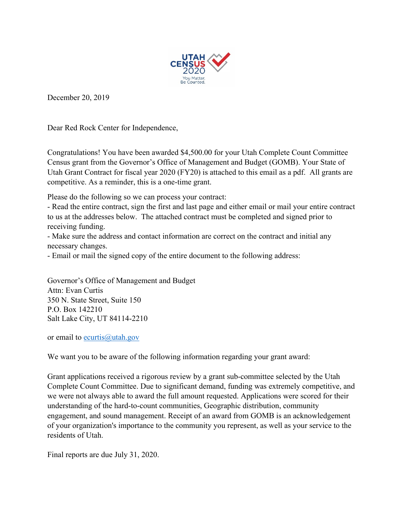

December 20, 2019

Dear Red Rock Center for Independence,

Congratulations! You have been awarded \$4,500.00 for your Utah Complete Count Committee Census grant from the Governor's Office of Management and Budget (GOMB). Your State of Utah Grant Contract for fiscal year 2020 (FY20) is attached to this email as a pdf. All grants are competitive. As a reminder, this is a one-time grant.

Please do the following so we can process your contract:

- Read the entire contract, sign the first and last page and either email or mail your entire contract to us at the addresses below. The attached contract must be completed and signed prior to receiving funding.

- Make sure the address and contact information are correct on the contract and initial any necessary changes.

- Email or mail the signed copy of the entire document to the following address:

Governor's Office of Management and Budget Attn: Evan Curtis 350 N. State Street, Suite 150 P.O. Box 142210 Salt Lake City, UT 84114-2210

or email to [ecurtis@utah.gov](mailto:ecurtis@utah.gov)

We want you to be aware of the following information regarding your grant award:

Grant applications received a rigorous review by a grant sub-committee selected by the Utah Complete Count Committee. Due to significant demand, funding was extremely competitive, and we were not always able to award the full amount requested. Applications were scored for their understanding of the hard-to-count communities, Geographic distribution, community engagement, and sound management. Receipt of an award from GOMB is an acknowledgement of your organization's importance to the community you represent, as well as your service to the residents of Utah.

Final reports are due July 31, 2020.